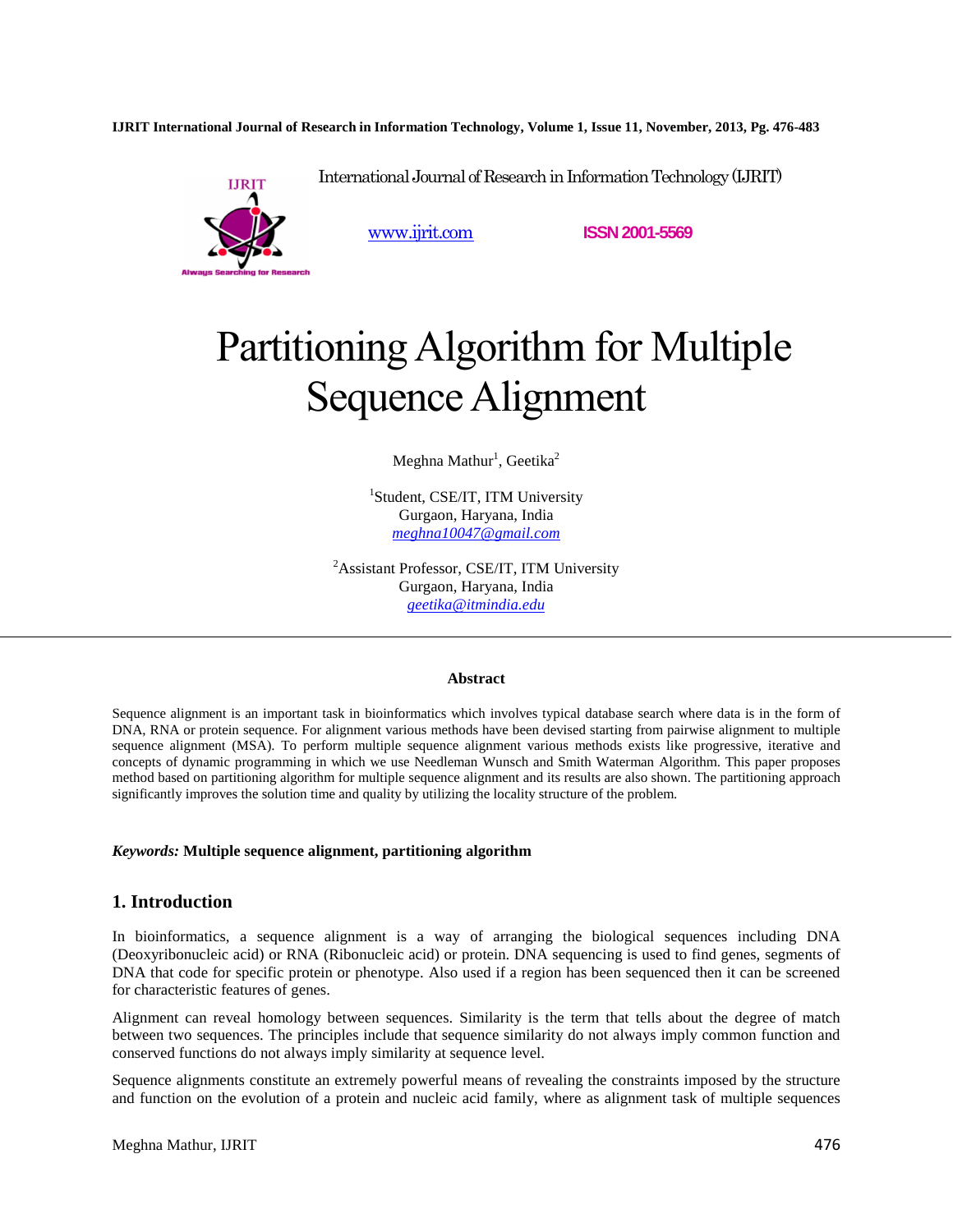**IJRIT International Journal of Research in Information Technology, Volume 1, Issue 11, November, 2013, Pg. 476-483**



www.ijrit.com **ISSN 2001-5569**

# Partitioning Algorithm for Multiple Sequence Alignment

International Journal of Research in Information Technology (IJRIT)

Meghna Mathur $^1$ , Geetika $^2$ 

<sup>1</sup>Student, CSE/IT, ITM University Gurgaon, Haryana, India *meghna10047@gmail.com* 

<sup>2</sup>Assistant Professor, CSE/IT, ITM University Gurgaon, Haryana, India *geetika@itmindia.edu* 

#### **Abstract**

Sequence alignment is an important task in bioinformatics which involves typical database search where data is in the form of DNA, RNA or protein sequence. For alignment various methods have been devised starting from pairwise alignment to multiple sequence alignment (MSA). To perform multiple sequence alignment various methods exists like progressive, iterative and concepts of dynamic programming in which we use Needleman Wunsch and Smith Waterman Algorithm. This paper proposes method based on partitioning algorithm for multiple sequence alignment and its results are also shown. The partitioning approach significantly improves the solution time and quality by utilizing the locality structure of the problem.

#### *Keywords:* **Multiple sequence alignment, partitioning algorithm**

#### **1. Introduction**

In bioinformatics, a sequence alignment is a way of arranging the biological sequences including DNA (Deoxyribonucleic acid) or RNA (Ribonucleic acid) or protein. DNA sequencing is used to find genes, segments of DNA that code for specific protein or phenotype. Also used if a region has been sequenced then it can be screened for characteristic features of genes.

Alignment can reveal homology between sequences. Similarity is the term that tells about the degree of match between two sequences. The principles include that sequence similarity do not always imply common function and conserved functions do not always imply similarity at sequence level.

Sequence alignments constitute an extremely powerful means of revealing the constraints imposed by the structure and function on the evolution of a protein and nucleic acid family, where as alignment task of multiple sequences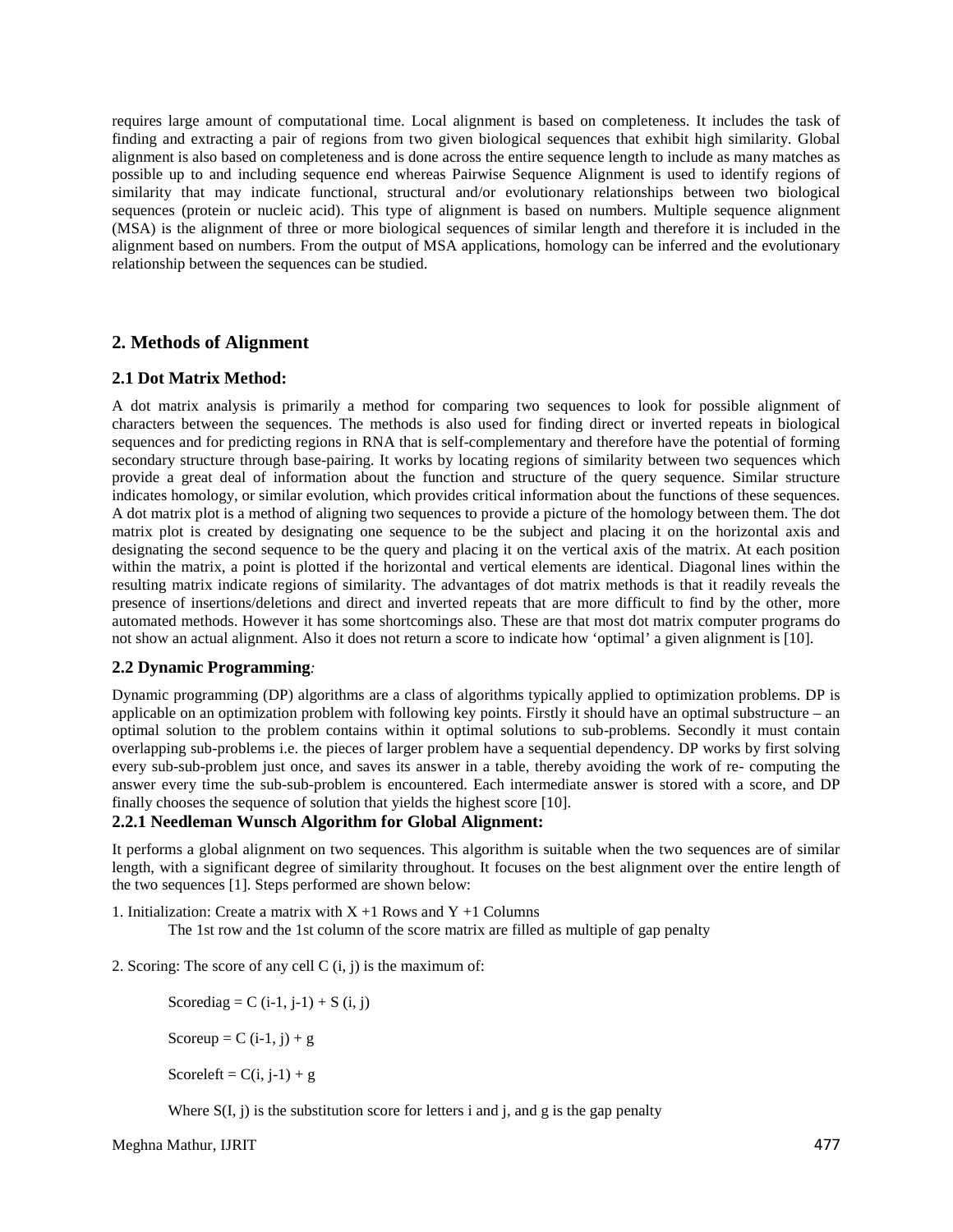requires large amount of computational time. Local alignment is based on completeness. It includes the task of finding and extracting a pair of regions from two given biological sequences that exhibit high similarity. Global alignment is also based on completeness and is done across the entire sequence length to include as many matches as possible up to and including sequence end whereas Pairwise Sequence Alignment is used to identify regions of similarity that may indicate functional, structural and/or evolutionary relationships between two biological sequences (protein or nucleic acid). This type of alignment is based on numbers. Multiple sequence alignment (MSA) is the alignment of three or more biological sequences of similar length and therefore it is included in the alignment based on numbers. From the output of MSA applications, homology can be inferred and the evolutionary relationship between the sequences can be studied.

# **2. Methods of Alignment**

#### **2.1 Dot Matrix Method:**

A dot matrix analysis is primarily a method for comparing two sequences to look for possible alignment of characters between the sequences. The methods is also used for finding direct or inverted repeats in biological sequences and for predicting regions in RNA that is self-complementary and therefore have the potential of forming secondary structure through base-pairing. It works by locating regions of similarity between two sequences which provide a great deal of information about the function and structure of the query sequence. Similar structure indicates homology, or similar evolution, which provides critical information about the functions of these sequences. A dot matrix plot is a method of aligning two sequences to provide a picture of the homology between them. The dot matrix plot is created by designating one sequence to be the subject and placing it on the horizontal axis and designating the second sequence to be the query and placing it on the vertical axis of the matrix. At each position within the matrix, a point is plotted if the horizontal and vertical elements are identical. Diagonal lines within the resulting matrix indicate regions of similarity. The advantages of dot matrix methods is that it readily reveals the presence of insertions/deletions and direct and inverted repeats that are more difficult to find by the other, more automated methods. However it has some shortcomings also. These are that most dot matrix computer programs do not show an actual alignment. Also it does not return a score to indicate how 'optimal' a given alignment is [10].

#### **2.2 Dynamic Programming***:*

Dynamic programming (DP) algorithms are a class of algorithms typically applied to optimization problems. DP is applicable on an optimization problem with following key points. Firstly it should have an optimal substructure – an optimal solution to the problem contains within it optimal solutions to sub-problems. Secondly it must contain overlapping sub-problems i.e. the pieces of larger problem have a sequential dependency. DP works by first solving every sub-sub-problem just once, and saves its answer in a table, thereby avoiding the work of re- computing the answer every time the sub-sub-problem is encountered. Each intermediate answer is stored with a score, and DP finally chooses the sequence of solution that yields the highest score [10].

## **2.2.1 Needleman Wunsch Algorithm for Global Alignment:**

It performs a global alignment on two sequences. This algorithm is suitable when the two sequences are of similar length, with a significant degree of similarity throughout. It focuses on the best alignment over the entire length of the two sequences [1]. Steps performed are shown below:

1. Initialization: Create a matrix with  $X + 1$  Rows and  $Y + 1$  Columns

The 1st row and the 1st column of the score matrix are filled as multiple of gap penalty

2. Scoring: The score of any cell  $C(i, j)$  is the maximum of:

Scorediag =  $C$  (i-1, j-1) + S (i, j)

Scoreup =  $C$  (i-1, j) + g

Scoreleft =  $C(i, j-1) + g$ 

Where  $S(I, j)$  is the substitution score for letters i and j, and g is the gap penalty

Meghna Mathur, IJRIT 477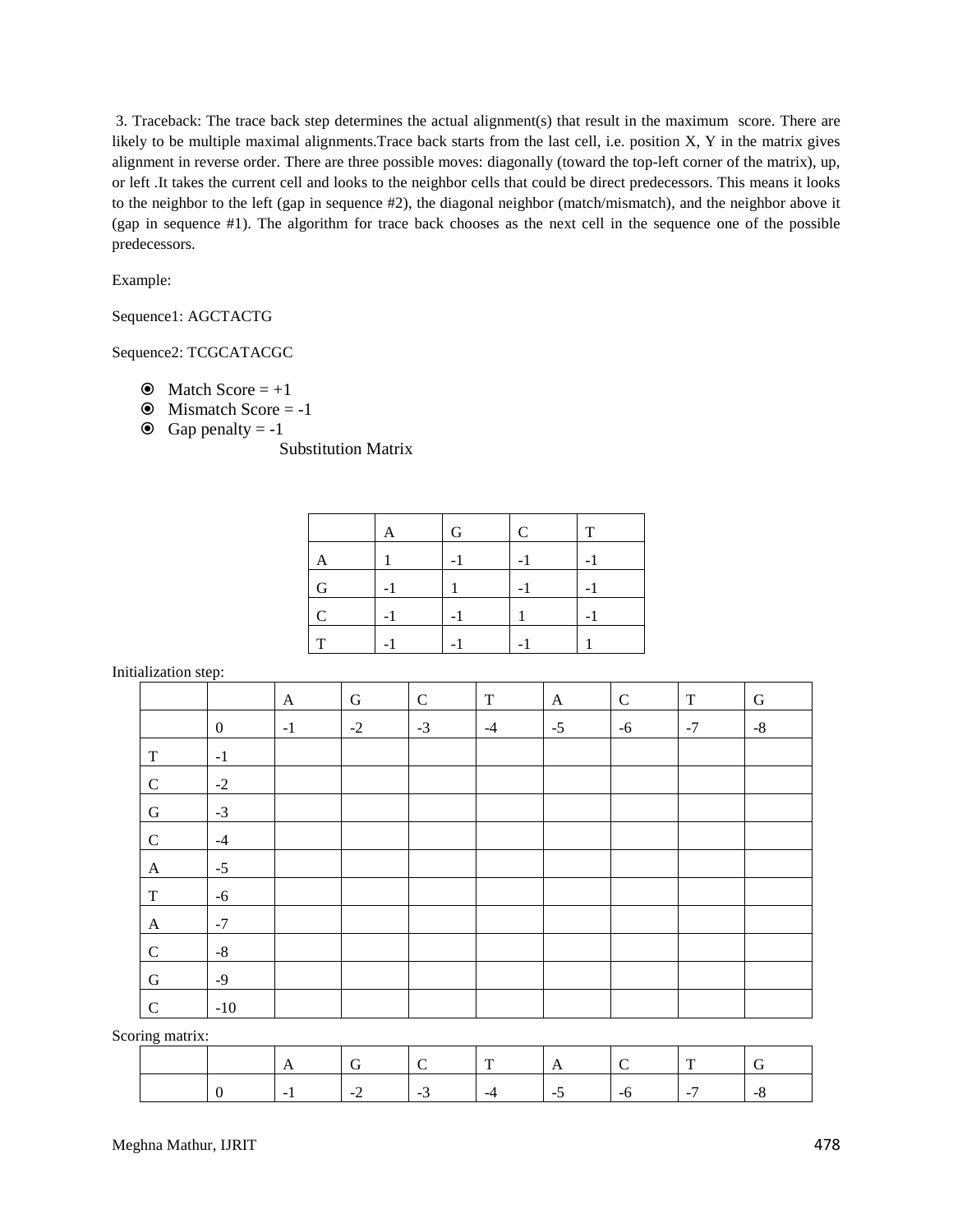3. Traceback: The trace back step determines the actual alignment(s) that result in the maximum score. There are likely to be multiple maximal alignments.Trace back starts from the last cell, i.e. position X, Y in the matrix gives alignment in reverse order. There are three possible moves: diagonally (toward the top-left corner of the matrix), up, or left .It takes the current cell and looks to the neighbor cells that could be direct predecessors. This means it looks to the neighbor to the left (gap in sequence #2), the diagonal neighbor (match/mismatch), and the neighbor above it (gap in sequence #1). The algorithm for trace back chooses as the next cell in the sequence one of the possible predecessors.

Example:

Sequence1: AGCTACTG

Sequence2: TCGCATACGC

- $\odot$  Match Score = +1
- $\odot$  Mismatch Score = -1
- $\odot$  Gap penalty = -1

Substitution Matrix

|   | A | G | C | т |
|---|---|---|---|---|
|   |   |   |   |   |
| G |   |   |   |   |
| C |   |   |   |   |
| m |   |   |   |   |

Initialization step:

|              | $\mathbf{r}$     |              |           |             |             |              |              |             |             |
|--------------|------------------|--------------|-----------|-------------|-------------|--------------|--------------|-------------|-------------|
|              |                  | $\mathbf{A}$ | ${\bf G}$ | $\mathbf C$ | $\mathbf T$ | $\mathbf{A}$ | $\mathsf{C}$ | $\mathbf T$ | ${\bf G}$   |
|              | $\boldsymbol{0}$ | $-1$         | $-2$      | $-3$        | $-4$        | $-5$         | $-6$         | $-7$        | $\text{-}8$ |
| $\mathbf T$  | $-1$             |              |           |             |             |              |              |             |             |
| $\mathsf{C}$ | $-2$             |              |           |             |             |              |              |             |             |
| ${\bf G}$    | $-3$             |              |           |             |             |              |              |             |             |
| $\mathsf{C}$ | $-4$             |              |           |             |             |              |              |             |             |
| $\mathbf{A}$ | $-5$             |              |           |             |             |              |              |             |             |
| $\mathbf T$  | $-6$             |              |           |             |             |              |              |             |             |
| $\mathbf{A}$ | $-7$             |              |           |             |             |              |              |             |             |
| $\mathsf{C}$ | $-8$             |              |           |             |             |              |              |             |             |
| ${\bf G}$    | $-9$             |              |           |             |             |              |              |             |             |
| $\mathbf C$  | $-10$            |              |           |             |             |              |              |             |             |

Scoring matrix:

|  | $\sim$ | $\cdot$ $\cdot$ $\cdot$ | <b>Contractor</b> | . | - 11 | . | $\overline{a}$ |
|--|--------|-------------------------|-------------------|---|------|---|----------------|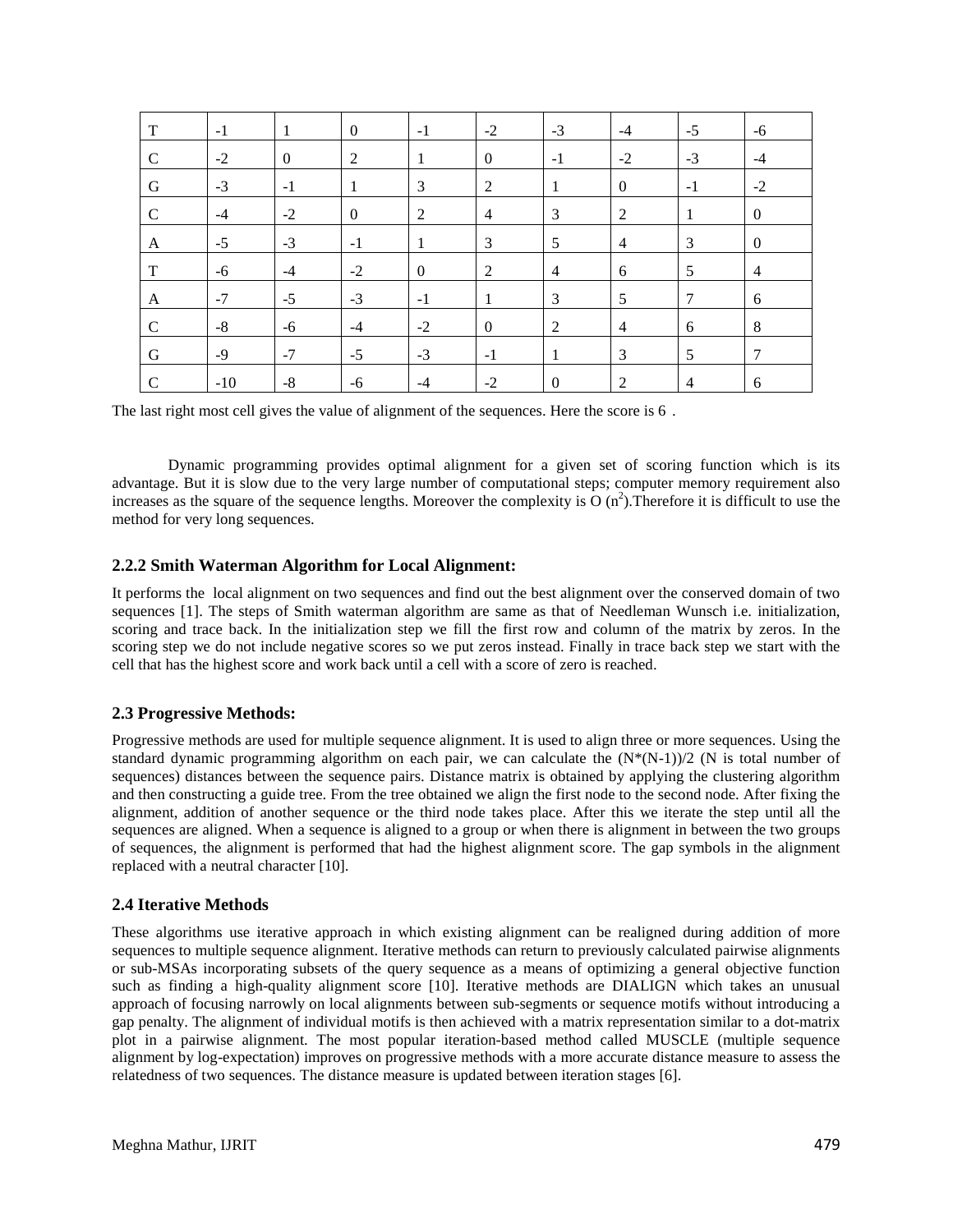| T           | $-1$  | -1               | $\overline{0}$   | $-1$           | $-2$           | $-3$             | $-4$           | $-5$           | $-6$             |
|-------------|-------|------------------|------------------|----------------|----------------|------------------|----------------|----------------|------------------|
| $\mathbf C$ | $-2$  | $\boldsymbol{0}$ | 2                | 1              | $\theta$       | $-1$             | $-2$           | $-3$           | $-4$             |
| G           | $-3$  | $-1$             | -1               | 3              | 2              | 1                | $\overline{0}$ | $-1$           | $-2$             |
| $\mathbf C$ | $-4$  | $-2$             | $\boldsymbol{0}$ | 2              | $\overline{4}$ | 3                | 2              | $\mathbf{1}$   | $\boldsymbol{0}$ |
| A           | $-5$  | $-3$             | $-1$             | 1              | 3              | 5                | $\overline{4}$ | 3              | $\boldsymbol{0}$ |
| T           | $-6$  | $-4$             | $-2$             | $\overline{0}$ | 2              | $\overline{4}$   | 6              | 5              | $\overline{4}$   |
| A           | $-7$  | $-5$             | $-3$             | $-1$           | -1             | 3                | $\overline{5}$ | $\overline{7}$ | 6                |
| $\mathbf C$ | $-8$  | $-6$             | $-4$             | $-2$           | $\overline{0}$ | 2                | $\overline{4}$ | 6              | 8                |
| G           | $-9$  | $-7$             | $-5$             | $-3$           | $-1$           | 1                | 3              | 5              | 7                |
| $\mathbf C$ | $-10$ | $-8$             | $-6$             | $-4$           | $-2$           | $\boldsymbol{0}$ | 2              | $\overline{4}$ | 6                |

The last right most cell gives the value of alignment of the sequences. Here the score is 6 .

Dynamic programming provides optimal alignment for a given set of scoring function which is its advantage. But it is slow due to the very large number of computational steps; computer memory requirement also increases as the square of the sequence lengths. Moreover the complexity is  $O(n^2)$ . Therefore it is difficult to use the method for very long sequences.

## **2.2.2 Smith Waterman Algorithm for Local Alignment:**

It performs the local alignment on two sequences and find out the best alignment over the conserved domain of two sequences [1]. The steps of Smith waterman algorithm are same as that of Needleman Wunsch i.e. initialization, scoring and trace back. In the initialization step we fill the first row and column of the matrix by zeros. In the scoring step we do not include negative scores so we put zeros instead. Finally in trace back step we start with the cell that has the highest score and work back until a cell with a score of zero is reached.

#### **2.3 Progressive Methods:**

Progressive methods are used for multiple sequence alignment. It is used to align three or more sequences. Using the standard dynamic programming algorithm on each pair, we can calculate the  $(N*(N-1))/2$  (N is total number of sequences) distances between the sequence pairs. Distance matrix is obtained by applying the clustering algorithm and then constructing a guide tree. From the tree obtained we align the first node to the second node. After fixing the alignment, addition of another sequence or the third node takes place. After this we iterate the step until all the sequences are aligned. When a sequence is aligned to a group or when there is alignment in between the two groups of sequences, the alignment is performed that had the highest alignment score. The gap symbols in the alignment replaced with a neutral character [10].

#### **2.4 Iterative Methods**

These algorithms use iterative approach in which existing alignment can be realigned during addition of more sequences to multiple sequence alignment. Iterative methods can return to previously calculated pairwise alignments or sub-MSAs incorporating subsets of the query sequence as a means of optimizing a general objective function such as finding a high-quality alignment score [10]. Iterative methods are DIALIGN which takes an unusual approach of focusing narrowly on local alignments between sub-segments or sequence motifs without introducing a gap penalty. The alignment of individual motifs is then achieved with a matrix representation similar to a dot-matrix plot in a pairwise alignment. The most popular iteration-based method called MUSCLE (multiple sequence alignment by log-expectation) improves on progressive methods with a more accurate distance measure to assess the relatedness of two sequences. The distance measure is updated between iteration stages [6].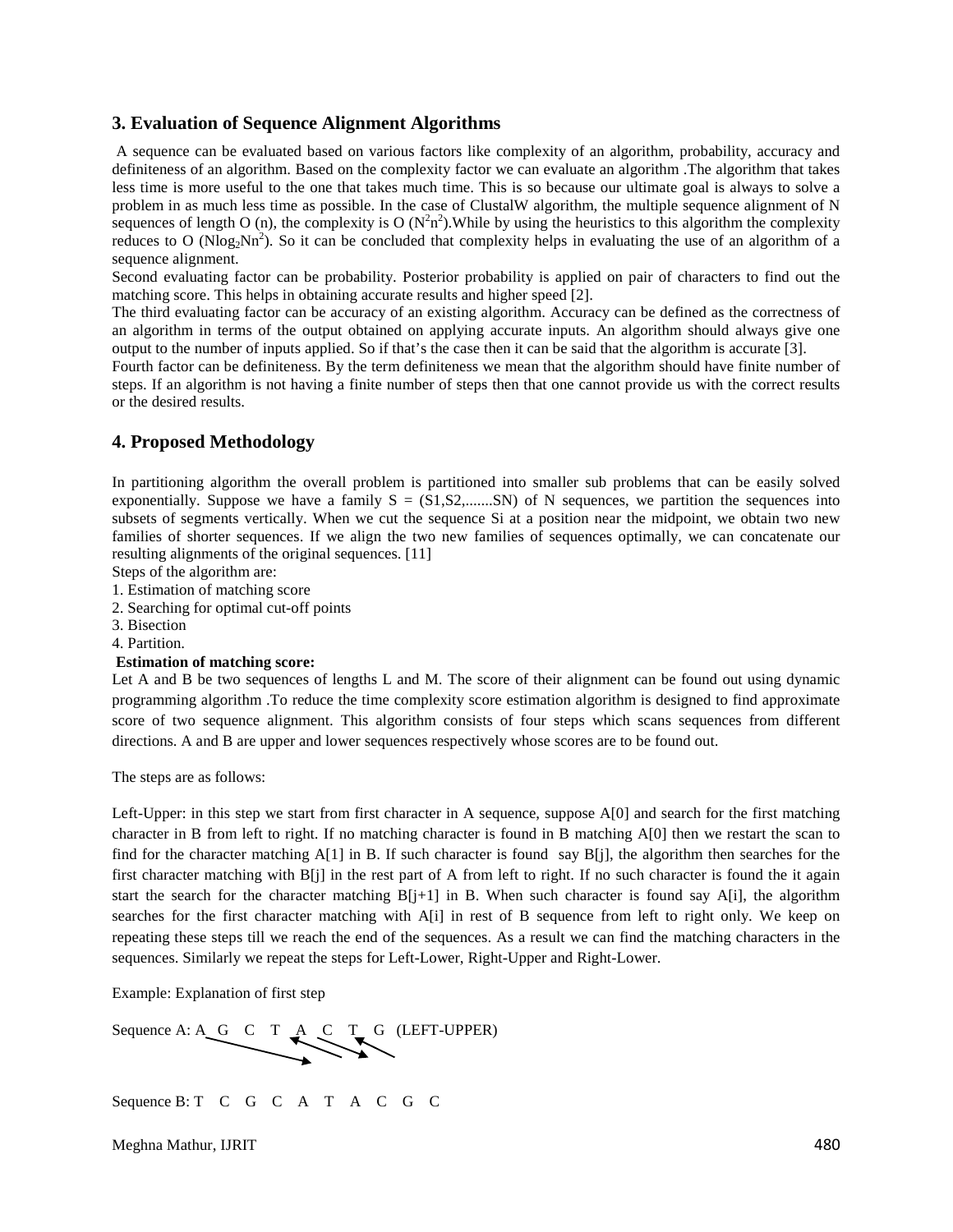#### **3. Evaluation of Sequence Alignment Algorithms**

A sequence can be evaluated based on various factors like complexity of an algorithm, probability, accuracy and definiteness of an algorithm. Based on the complexity factor we can evaluate an algorithm .The algorithm that takes less time is more useful to the one that takes much time. This is so because our ultimate goal is always to solve a problem in as much less time as possible. In the case of ClustalW algorithm, the multiple sequence alignment of N sequences of length O (n), the complexity is O ( $N^2n^2$ ). While by using the heuristics to this algorithm the complexity reduces to O (Nlog<sub>2</sub>Nn<sup>2</sup>). So it can be concluded that complexity helps in evaluating the use of an algorithm of a sequence alignment.

Second evaluating factor can be probability. Posterior probability is applied on pair of characters to find out the matching score. This helps in obtaining accurate results and higher speed [2].

The third evaluating factor can be accuracy of an existing algorithm. Accuracy can be defined as the correctness of an algorithm in terms of the output obtained on applying accurate inputs. An algorithm should always give one output to the number of inputs applied. So if that's the case then it can be said that the algorithm is accurate [3].

Fourth factor can be definiteness. By the term definiteness we mean that the algorithm should have finite number of steps. If an algorithm is not having a finite number of steps then that one cannot provide us with the correct results or the desired results.

#### **4. Proposed Methodology**

In partitioning algorithm the overall problem is partitioned into smaller sub problems that can be easily solved exponentially. Suppose we have a family  $S = (S1, S2, \dots, SN)$  of N sequences, we partition the sequences into subsets of segments vertically. When we cut the sequence Si at a position near the midpoint, we obtain two new families of shorter sequences. If we align the two new families of sequences optimally, we can concatenate our resulting alignments of the original sequences. [11]

Steps of the algorithm are:

- 1. Estimation of matching score
- 2. Searching for optimal cut-off points
- 3. Bisection

# 4. Partition.

#### **Estimation of matching score:**

Let A and B be two sequences of lengths L and M. The score of their alignment can be found out using dynamic programming algorithm .To reduce the time complexity score estimation algorithm is designed to find approximate score of two sequence alignment. This algorithm consists of four steps which scans sequences from different directions. A and B are upper and lower sequences respectively whose scores are to be found out.

The steps are as follows:

Left-Upper: in this step we start from first character in A sequence, suppose A[0] and search for the first matching character in B from left to right. If no matching character is found in B matching A[0] then we restart the scan to find for the character matching  $A[1]$  in B. If such character is found say  $B[i]$ , the algorithm then searches for the first character matching with B[j] in the rest part of A from left to right. If no such character is found the it again start the search for the character matching  $B[j+1]$  in B. When such character is found say A[i], the algorithm searches for the first character matching with A[i] in rest of B sequence from left to right only. We keep on repeating these steps till we reach the end of the sequences. As a result we can find the matching characters in the sequences. Similarly we repeat the steps for Left-Lower, Right-Upper and Right-Lower.

Example: Explanation of first step



Sequence B: T C G C A T A C G C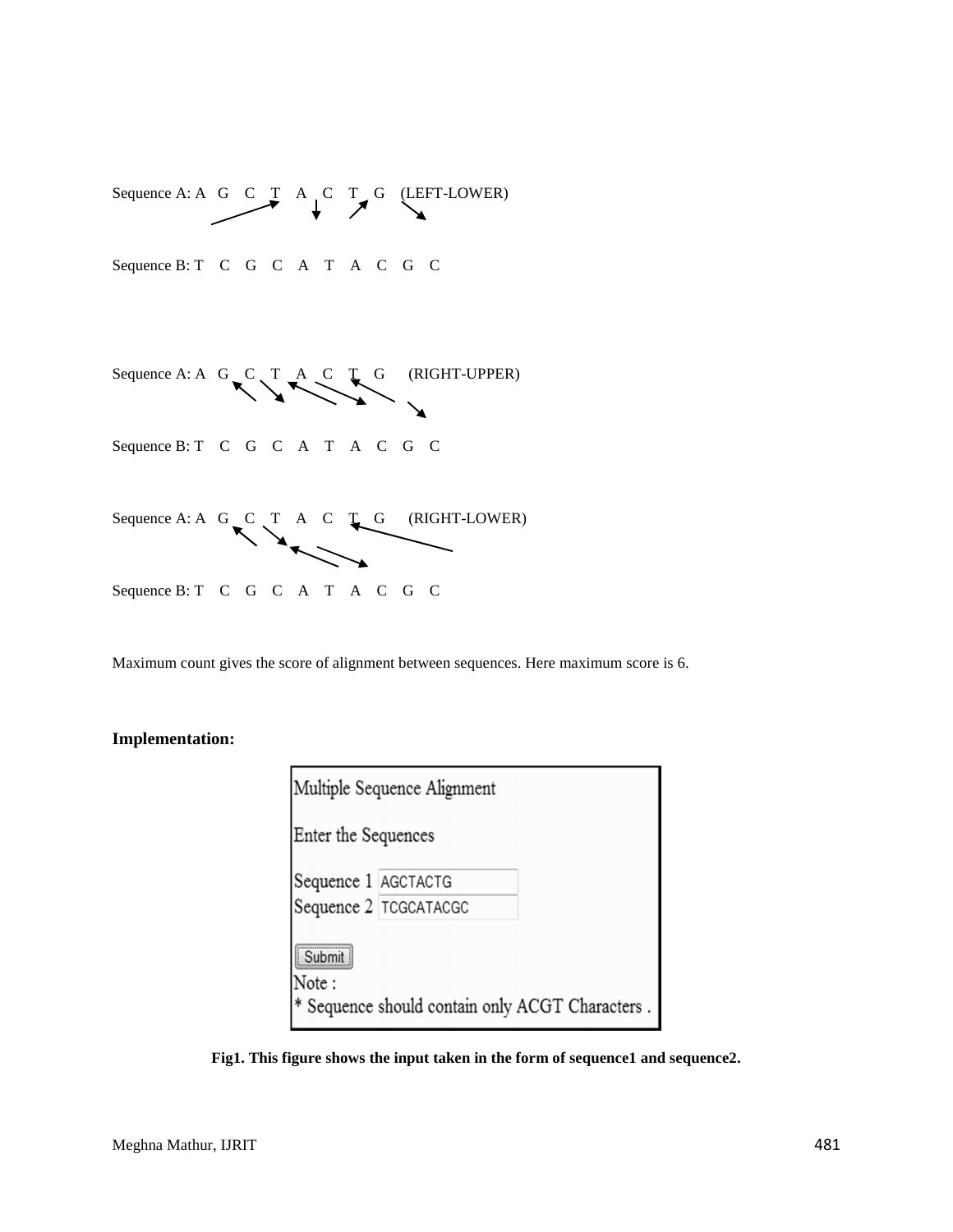

Maximum count gives the score of alignment between sequences. Here maximum score is 6.

## **Implementation:**

| Multiple Sequence Alignment |                                                 |  |  |  |  |
|-----------------------------|-------------------------------------------------|--|--|--|--|
| Enter the Sequences         |                                                 |  |  |  |  |
| Sequence 1 AGCTACTG         |                                                 |  |  |  |  |
|                             | Sequence 2 TCGCATACGC                           |  |  |  |  |
| Submit<br>Note:             | * Sequence should contain only ACGT Characters. |  |  |  |  |

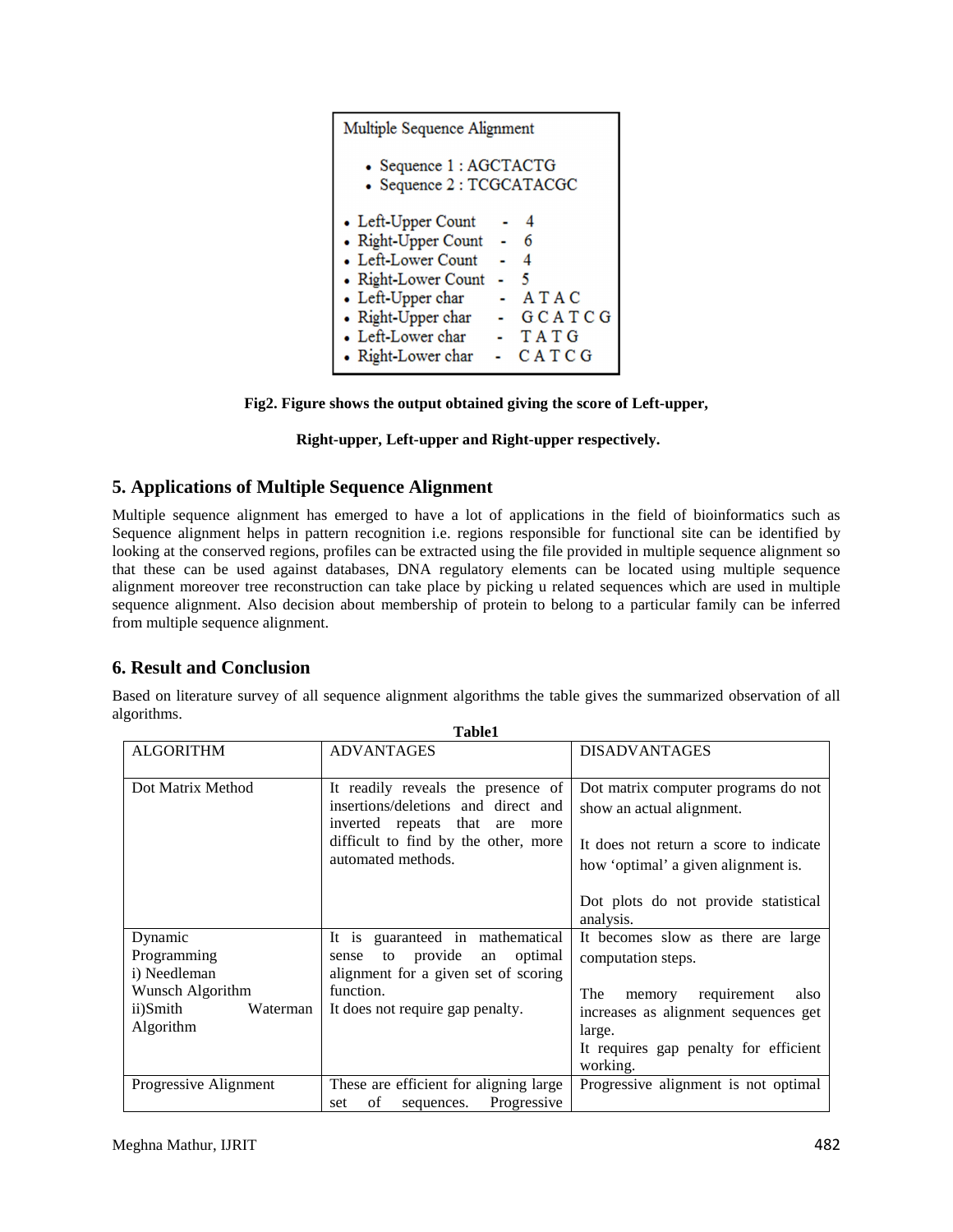| Multiple Sequence Alignment                         |  |  |  |  |
|-----------------------------------------------------|--|--|--|--|
| • Sequence 1: AGCTACTG<br>• Sequence 2 : TCGCATACGC |  |  |  |  |
| • Left-Upper Count                                  |  |  |  |  |
| • Right-Upper Count<br>6                            |  |  |  |  |
| • Left-Lower Count<br>$\boldsymbol{A}$              |  |  |  |  |
| • Right-Lower Count<br>5                            |  |  |  |  |
| • Left-Upper char<br>ATAC                           |  |  |  |  |
| • Right-Upper char<br>GCATCG                        |  |  |  |  |
| • Left-Lower char<br>TATG                           |  |  |  |  |
| • Right-Lower char<br>CATCG                         |  |  |  |  |



## **Right-upper, Left-upper and Right-upper respectively.**

# **5. Applications of Multiple Sequence Alignment**

Multiple sequence alignment has emerged to have a lot of applications in the field of bioinformatics such as Sequence alignment helps in pattern recognition i.e. regions responsible for functional site can be identified by looking at the conserved regions, profiles can be extracted using the file provided in multiple sequence alignment so that these can be used against databases, DNA regulatory elements can be located using multiple sequence alignment moreover tree reconstruction can take place by picking u related sequences which are used in multiple sequence alignment. Also decision about membership of protein to belong to a particular family can be inferred from multiple sequence alignment.

# **6. Result and Conclusion**

Based on literature survey of all sequence alignment algorithms the table gives the summarized observation of all algorithms. **Table1** 

|                                                                                                 | ташег                                                                                                                                                                           |                                                                                                                                                                                                         |
|-------------------------------------------------------------------------------------------------|---------------------------------------------------------------------------------------------------------------------------------------------------------------------------------|---------------------------------------------------------------------------------------------------------------------------------------------------------------------------------------------------------|
| <b>ALGORITHM</b>                                                                                | <b>ADVANTAGES</b>                                                                                                                                                               | <b>DISADVANTAGES</b>                                                                                                                                                                                    |
| Dot Matrix Method                                                                               | It readily reveals the presence of<br>insertions/deletions and direct and<br>inverted repeats that<br>are<br>more<br>difficult to find by the other, more<br>automated methods. | Dot matrix computer programs do not<br>show an actual alignment.<br>It does not return a score to indicate<br>how 'optimal' a given alignment is.<br>Dot plots do not provide statistical<br>analysis.  |
| Dynamic<br>Programming<br>i) Needleman<br>Wunsch Algorithm<br>ii)Smith<br>Waterman<br>Algorithm | It is guaranteed in mathematical<br>provide<br>optimal<br>to<br>an<br>sense<br>alignment for a given set of scoring<br>function.<br>It does not require gap penalty.            | It becomes slow as there are large<br>computation steps.<br>requirement<br>The<br>also<br>memory<br>increases as alignment sequences get<br>large.<br>It requires gap penalty for efficient<br>working. |
| Progressive Alignment                                                                           | These are efficient for aligning large<br>Progressive<br>of<br>sequences.<br>set                                                                                                | Progressive alignment is not optimal                                                                                                                                                                    |